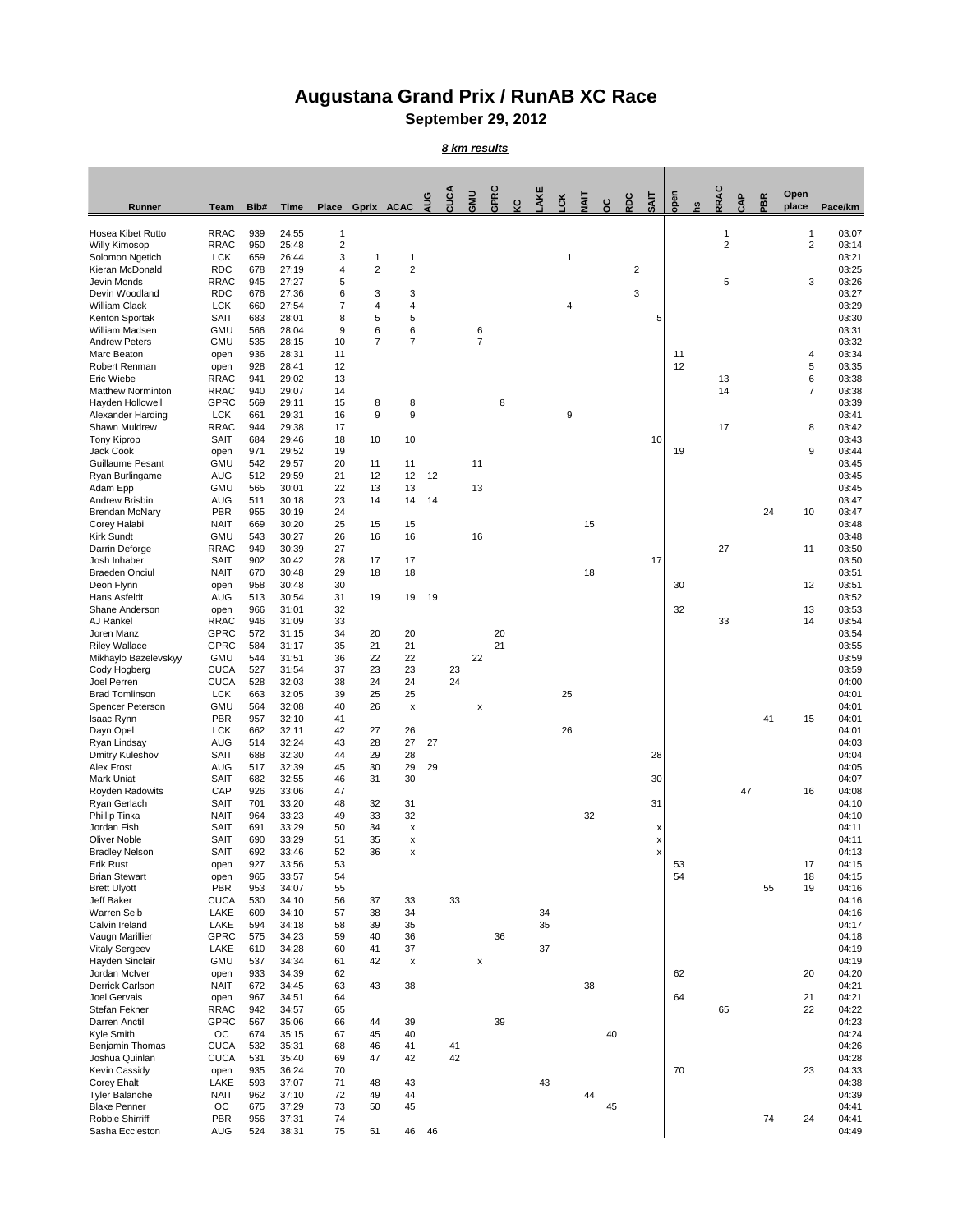## **Augustana Grand Prix / RunAB XC Race**

**September 29, 2012**

## *8 km results*

| Runner                                       | <b>Team</b>                | Bib#       | <b>Time</b>    | <b>Place</b>                 | <b>Gprix ACAC</b> |                                 | AUG | CUCA     | GMU            | GPRC | ပ္င | AKE | čK | <b>TIAL</b> | $\mathcal{S}^{\mathbf{C}}$ | RDC          | <b>SAIT</b> | open | <u>c</u> | RRAC           | CAP | PBR | Open<br>place  | Pace/km        |
|----------------------------------------------|----------------------------|------------|----------------|------------------------------|-------------------|---------------------------------|-----|----------|----------------|------|-----|-----|----|-------------|----------------------------|--------------|-------------|------|----------|----------------|-----|-----|----------------|----------------|
| Hosea Kibet Rutto                            | <b>RRAC</b>                | 939        | 24:55          | $\mathbf 1$                  |                   |                                 |     |          |                |      |     |     |    |             |                            |              |             |      |          | -1             |     |     | 1              | 03:07          |
| <b>Willy Kimosop</b><br>Solomon Ngetich      | <b>RRAC</b><br><b>LCK</b>  | 950<br>659 | 25:48<br>26:44 | $\overline{\mathbf{c}}$<br>3 |                   | 1                               |     |          |                |      |     |     | 1  |             |                            |              |             |      |          | $\overline{2}$ |     |     | $\overline{2}$ | 03:14<br>03:21 |
| Kieran McDonald                              | <b>RDC</b>                 | 678        | 27:19          | 4                            | $\overline{2}$    | $\overline{c}$                  |     |          |                |      |     |     |    |             |                            | $\mathbf{2}$ |             |      |          |                |     |     |                | 03:25          |
| Jevin Monds                                  | <b>RRAC</b>                | 945        | 27:27          | 5                            |                   |                                 |     |          |                |      |     |     |    |             |                            |              |             |      |          | $\,$ 5 $\,$    |     |     | 3              | 03:26          |
| Devin Woodland<br><b>William Clack</b>       | <b>RDC</b><br><b>LCK</b>   | 676<br>660 | 27:36<br>27:54 | 6<br>$\overline{7}$          | 3<br>4            | 3<br>4                          |     |          |                |      |     |     | 4  |             |                            | 3            |             |      |          |                |     |     |                | 03:27<br>03:29 |
| Kenton Sportak                               | <b>SAIT</b>                | 683        | 28:01          | 8                            | $\sqrt{5}$        | 5                               |     |          |                |      |     |     |    |             |                            |              | 5           |      |          |                |     |     |                | 03:30          |
| William Madsen                               | <b>GMU</b>                 | 566        | 28:04          | 9                            | $\,6$             | 6                               |     |          | 6              |      |     |     |    |             |                            |              |             |      |          |                |     |     |                | 03:31          |
| <b>Andrew Peters</b><br>Marc Beaton          | <b>GMU</b><br>open         | 535<br>936 | 28:15<br>28:31 | 10<br>11                     | $\overline{7}$    | $\overline{7}$                  |     |          | $\overline{7}$ |      |     |     |    |             |                            |              |             | 11   |          |                |     |     | 4              | 03:32<br>03:34 |
| Robert Renman                                | open                       | 928        | 28:41          | 12                           |                   |                                 |     |          |                |      |     |     |    |             |                            |              |             | 12   |          |                |     |     | 5              | 03:35          |
| Eric Wiebe                                   | <b>RRAC</b>                | 941        | 29:02          | 13                           |                   |                                 |     |          |                |      |     |     |    |             |                            |              |             |      |          | 13             |     |     | 6              | 03:38          |
| <b>Matthew Norminton</b><br>Hayden Hollowell | <b>RRAC</b><br><b>GPRC</b> | 940<br>569 | 29:07<br>29:11 | 14<br>15                     | 8                 | 8                               |     |          |                | 8    |     |     |    |             |                            |              |             |      |          | 14             |     |     | $\overline{7}$ | 03:38<br>03:39 |
| <b>Alexander Harding</b>                     | <b>LCK</b>                 | 661        | 29:31          | 16                           | 9                 | 9                               |     |          |                |      |     |     | 9  |             |                            |              |             |      |          |                |     |     |                | 03:41          |
| <b>Shawn Muldrew</b>                         | <b>RRAC</b>                | 944        | 29:38          | 17                           |                   |                                 |     |          |                |      |     |     |    |             |                            |              |             |      |          | 17             |     |     | 8              | 03:42          |
| <b>Tony Kiprop</b><br>Jack Cook              | <b>SAIT</b><br>open        | 684<br>971 | 29:46<br>29:52 | 18<br>19                     | 10                | 10                              |     |          |                |      |     |     |    |             |                            |              | 10          | 19   |          |                |     |     | 9              | 03:43<br>03:44 |
| <b>Guillaume Pesant</b>                      | <b>GMU</b>                 | 542        | 29:57          | 20                           | 11                | 11                              |     |          | 11             |      |     |     |    |             |                            |              |             |      |          |                |     |     |                | 03:45          |
| Ryan Burlingame                              | <b>AUG</b>                 | 512        | 29:59          | 21                           | 12                | 12                              | 12  |          |                |      |     |     |    |             |                            |              |             |      |          |                |     |     |                | 03:45          |
| Adam Epp<br>Andrew Brisbin                   | <b>GMU</b><br><b>AUG</b>   | 565<br>511 | 30:01<br>30:18 | 22<br>23                     | 13<br>14          | 13<br>14                        | 14  |          | 13             |      |     |     |    |             |                            |              |             |      |          |                |     |     |                | 03:45<br>03:47 |
| <b>Brendan McNary</b>                        | <b>PBR</b>                 | 955        | 30:19          | 24                           |                   |                                 |     |          |                |      |     |     |    |             |                            |              |             |      |          |                |     | 24  | 10             | 03:47          |
| Corey Halabi                                 | <b>NAIT</b>                | 669        | 30:20          | 25                           | 15                | 15                              |     |          |                |      |     |     |    | 15          |                            |              |             |      |          |                |     |     |                | 03:48          |
| <b>Kirk Sundt</b><br>Darrin Deforge          | <b>GMU</b><br><b>RRAC</b>  | 543<br>949 | 30:27<br>30:39 | 26<br>27                     | 16                | 16                              |     |          | 16             |      |     |     |    |             |                            |              |             |      |          | 27             |     |     | 11             | 03:48<br>03:50 |
| Josh Inhaber                                 | <b>SAIT</b>                | 902        | 30:42          | 28                           | 17                | 17                              |     |          |                |      |     |     |    |             |                            |              | 17          |      |          |                |     |     |                | 03:50          |
| <b>Braeden Onciul</b>                        | <b>NAIT</b>                | 670        | 30:48          | 29                           | 18                | 18                              |     |          |                |      |     |     |    | 18          |                            |              |             |      |          |                |     |     |                | 03:51          |
| Deon Flynn<br>Hans Asfeldt                   | open<br><b>AUG</b>         | 958<br>513 | 30:48<br>30:54 | 30<br>31                     | 19                | 19                              | 19  |          |                |      |     |     |    |             |                            |              |             | 30   |          |                |     |     | 12             | 03:51<br>03:52 |
| Shane Anderson                               | open                       | 966        | 31:01          | 32                           |                   |                                 |     |          |                |      |     |     |    |             |                            |              |             | 32   |          |                |     |     | 13             | 03:53          |
| <b>AJ Rankel</b>                             | <b>RRAC</b>                | 946        | 31:09          | 33                           |                   |                                 |     |          |                |      |     |     |    |             |                            |              |             |      |          | 33             |     |     | 14             | 03:54          |
| Joren Manz                                   | <b>GPRC</b>                | 572        | 31:15          | 34                           | 20                | 20                              |     |          |                | 20   |     |     |    |             |                            |              |             |      |          |                |     |     |                | 03:54          |
| <b>Riley Wallace</b><br>Mikhaylo Bazelevskyy | <b>GPRC</b><br><b>GMU</b>  | 584<br>544 | 31:17<br>31:51 | 35<br>36                     | 21<br>22          | 21<br>22                        |     |          | 22             | 21   |     |     |    |             |                            |              |             |      |          |                |     |     |                | 03:55<br>03:59 |
| Cody Hogberg                                 | <b>CUCA</b>                | 527        | 31:54          | 37                           | 23                | 23                              |     | 23       |                |      |     |     |    |             |                            |              |             |      |          |                |     |     |                | 03:59          |
| Joel Perren                                  | <b>CUCA</b>                | 528        | 32:03          | 38                           | 24                | 24                              |     | 24       |                |      |     |     |    |             |                            |              |             |      |          |                |     |     |                | 04:00          |
| <b>Brad Tomlinson</b><br>Spencer Peterson    | <b>LCK</b><br><b>GMU</b>   | 663<br>564 | 32:05<br>32:08 | 39<br>40                     | 25<br>26          | 25<br>$\boldsymbol{\mathsf{x}}$ |     |          | X              |      |     |     | 25 |             |                            |              |             |      |          |                |     |     |                | 04:01<br>04:01 |
| Isaac Rynn                                   | <b>PBR</b>                 | 957        | 32:10          | 41                           |                   |                                 |     |          |                |      |     |     |    |             |                            |              |             |      |          |                |     | 41  | 15             | 04:01          |
| Dayn Opel                                    | <b>LCK</b>                 | 662        | 32:11          | 42                           | 27                | 26                              |     |          |                |      |     |     | 26 |             |                            |              |             |      |          |                |     |     |                | 04:01          |
| Ryan Lindsay<br>Dmitry Kuleshov              | <b>AUG</b><br><b>SAIT</b>  | 514<br>688 | 32:24<br>32:30 | 43<br>44                     | 28<br>29          | 27<br>28                        | 27  |          |                |      |     |     |    |             |                            |              | 28          |      |          |                |     |     |                | 04:03<br>04:04 |
| <b>Alex Frost</b>                            | <b>AUG</b>                 | 517        | 32:39          | 45                           | 30                | 29                              | 29  |          |                |      |     |     |    |             |                            |              |             |      |          |                |     |     |                | 04:05          |
| <b>Mark Uniat</b>                            | <b>SAIT</b>                | 682        | 32:55          | 46                           | 31                | 30                              |     |          |                |      |     |     |    |             |                            |              | 30          |      |          |                |     |     |                | 04:07          |
| Royden Radowits<br>Ryan Gerlach              | CAP<br><b>SAIT</b>         | 926<br>701 | 33:06<br>33:20 | 47<br>48                     | 32                | 31                              |     |          |                |      |     |     |    |             |                            |              | 31          |      |          |                | 47  |     | 16             | 04:08<br>04:10 |
| Phillip Tinka                                | <b>NAIT</b>                | 964        | 33:23          | 49                           | 33                | 32                              |     |          |                |      |     |     |    | 32          |                            |              |             |      |          |                |     |     |                | 04:10          |
| Jordan Fish                                  | <b>SAIT</b>                | 691        | 33:29          | 50                           | 34                | X                               |     |          |                |      |     |     |    |             |                            |              | х           |      |          |                |     |     |                | 04:11          |
| <b>Oliver Noble</b><br><b>Bradley Nelson</b> | <b>SAIT</b><br><b>SAIT</b> | 690<br>692 | 33:29<br>33:46 | 51<br>52                     | 35<br>36          | X<br>X                          |     |          |                |      |     |     |    |             |                            |              | x           |      |          |                |     |     |                | 04:11<br>04:13 |
| <b>Erik Rust</b>                             | open                       | 927        | 33:56          | 53                           |                   |                                 |     |          |                |      |     |     |    |             |                            |              |             | 53   |          |                |     |     | 17             | 04:15          |
| <b>Brian Stewart</b>                         | open                       | 965        | 33:57          | 54                           |                   |                                 |     |          |                |      |     |     |    |             |                            |              |             | 54   |          |                |     |     | 18             | 04:15          |
| <b>Brett Ulyott</b><br><b>Jeff Baker</b>     | <b>PBR</b><br><b>CUCA</b>  | 953<br>530 | 34:07<br>34:10 | 55<br>56                     | 37                | 33                              |     | 33       |                |      |     |     |    |             |                            |              |             |      |          |                |     | 55  | 19             | 04:16<br>04:16 |
| <b>Warren Seib</b>                           | LAKE                       | 609        | 34:10          | 57                           | 38                | 34                              |     |          |                |      |     | 34  |    |             |                            |              |             |      |          |                |     |     |                | 04:16          |
| Calvin Ireland                               | LAKE                       | 594        | 34:18          | 58                           | 39                | 35                              |     |          |                |      |     | 35  |    |             |                            |              |             |      |          |                |     |     |                | 04:17          |
| Vaugn Marillier<br><b>Vitaly Sergeev</b>     | <b>GPRC</b><br>LAKE        | 575<br>610 | 34:23<br>34:28 | 59<br>60                     | 40<br>41          | 36<br>37                        |     |          |                | 36   |     | 37  |    |             |                            |              |             |      |          |                |     |     |                | 04:18<br>04:19 |
| Hayden Sinclair                              | <b>GMU</b>                 | 537        | 34:34          | 61                           | 42                | X                               |     |          | X              |      |     |     |    |             |                            |              |             |      |          |                |     |     |                | 04:19          |
| Jordan McIver                                | open                       | 933        | 34:39          | 62                           |                   |                                 |     |          |                |      |     |     |    |             |                            |              |             | 62   |          |                |     |     | 20             | 04:20          |
| <b>Derrick Carlson</b>                       | <b>NAIT</b>                | 672        | 34:45          | 63                           | 43                | 38                              |     |          |                |      |     |     |    | 38          |                            |              |             |      |          |                |     |     |                | 04:21          |
| Joel Gervais<br>Stefan Fekner                | open<br><b>RRAC</b>        | 967<br>942 | 34:51<br>34:57 | 64<br>65                     |                   |                                 |     |          |                |      |     |     |    |             |                            |              |             | 64   |          | 65             |     |     | 21<br>22       | 04:21<br>04:22 |
| Darren Anctil                                | <b>GPRC</b>                | 567        | 35:06          | 66                           | 44                | 39                              |     |          |                | 39   |     |     |    |             |                            |              |             |      |          |                |     |     |                | 04:23          |
| Kyle Smith                                   | OC                         | 674        | 35:15          | 67                           | 45                | 40                              |     |          |                |      |     |     |    |             | 40                         |              |             |      |          |                |     |     |                | 04:24          |
| Benjamin Thomas<br>Joshua Quinlan            | <b>CUCA</b><br><b>CUCA</b> | 532<br>531 | 35:31<br>35:40 | 68<br>69                     | 46<br>47          | 41<br>42                        |     | 41<br>42 |                |      |     |     |    |             |                            |              |             |      |          |                |     |     |                | 04:26<br>04:28 |
| Kevin Cassidy                                | open                       | 935        | 36:24          | 70                           |                   |                                 |     |          |                |      |     |     |    |             |                            |              |             | 70   |          |                |     |     | 23             | 04:33          |
| <b>Corey Ehalt</b>                           | LAKE                       | 593        | 37:07          | 71                           | 48                | 43                              |     |          |                |      |     | 43  |    |             |                            |              |             |      |          |                |     |     |                | 04:38          |
| <b>Tyler Balanche</b><br><b>Blake Penner</b> | <b>NAIT</b><br>OC          | 962<br>675 | 37:10<br>37:29 | $72\,$<br>73                 | 49<br>50          | 44<br>45                        |     |          |                |      |     |     |    | 44          | 45                         |              |             |      |          |                |     |     |                | 04:39<br>04:41 |
| Robbie Shirriff                              | <b>PBR</b>                 | 956        | 37:31          | 74                           |                   |                                 |     |          |                |      |     |     |    |             |                            |              |             |      |          |                |     | 74  | 24             | 04:41          |
| Sasha Eccleston                              | <b>AUG</b>                 | 524        | 38:31          | 75                           | 51                | 46                              | 46  |          |                |      |     |     |    |             |                            |              |             |      |          |                |     |     |                | 04:49          |